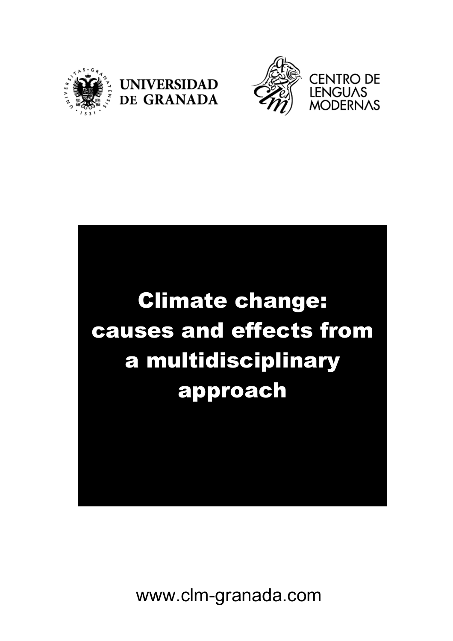





# Climate change: causes and effects from a multidisciplinary approach

www.clm-granada.com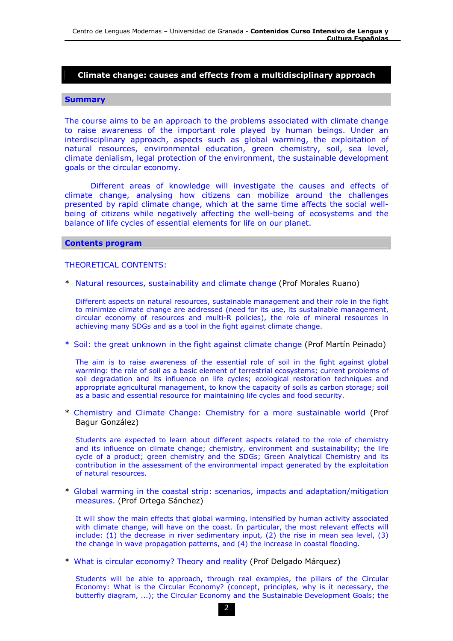# **Climate change: causes and effects from a multidisciplinary approach**

### **Summary**

The course aims to be an approach to the problems associated with climate change to raise awareness of the important role played by human beings. Under an interdisciplinary approach, aspects such as global warming, the exploitation of natural resources, environmental education, green chemistry, soil, sea level, climate denialism, legal protection of the environment, the sustainable development goals or the circular economy.

Different areas of knowledge will investigate the causes and effects of climate change, analysing how citizens can mobilize around the challenges presented by rapid climate change, which at the same time affects the social wellbeing of citizens while negatively affecting the well-being of ecosystems and the balance of life cycles of essential elements for life on our planet.

#### **Contents program**

#### THEORETICAL CONTENTS:

\* Natural resources, sustainability and climate change (Prof Morales Ruano)

Different aspects on natural resources, sustainable management and their role in the fight to minimize climate change are addressed (need for its use, its sustainable management, circular economy of resources and multi-R policies), the role of mineral resources in achieving many SDGs and as a tool in the fight against climate change.

\* Soil: the great unknown in the fight against climate change (Prof Martín Peinado)

The aim is to raise awareness of the essential role of soil in the fight against global warming: the role of soil as a basic element of terrestrial ecosystems; current problems of soil degradation and its influence on life cycles; ecological restoration techniques and appropriate agricultural management, to know the capacity of soils as carbon storage; soil as a basic and essential resource for maintaining life cycles and food security.

\* Chemistry and Climate Change: Chemistry for a more sustainable world (Prof Bagur González)

Students are expected to learn about different aspects related to the role of chemistry and its influence on climate change; chemistry, environment and sustainability; the life cycle of a product; green chemistry and the SDGs; Green Analytical Chemistry and its contribution in the assessment of the environmental impact generated by the exploitation of natural resources.

\* Global warming in the coastal strip: scenarios, impacts and adaptation/mitigation measures. (Prof Ortega Sánchez)

It will show the main effects that global warming, intensified by human activity associated with climate change, will have on the coast. In particular, the most relevant effects will include: (1) the decrease in river sedimentary input, (2) the rise in mean sea level, (3) the change in wave propagation patterns, and (4) the increase in coastal flooding.

\* What is circular economy? Theory and reality (Prof Delgado Márquez)

Students will be able to approach, through real examples, the pillars of the Circular Economy: What is the Circular Economy? (concept, principles, why is it necessary, the butterfly diagram, ...); the Circular Economy and the Sustainable Development Goals; the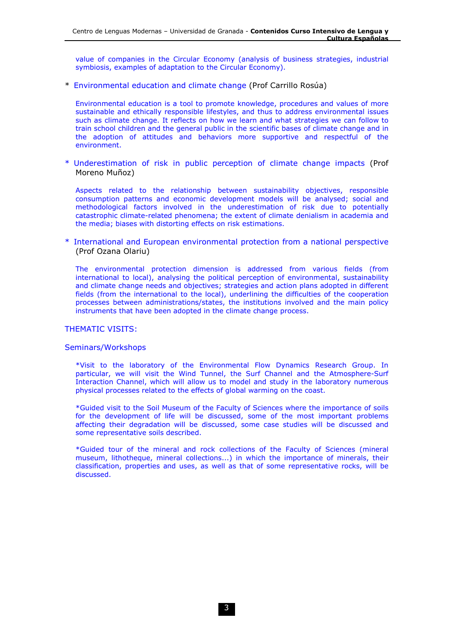value of companies in the Circular Economy (analysis of business strategies, industrial symbiosis, examples of adaptation to the Circular Economy).

\* Environmental education and climate change (Prof Carrillo Rosúa)

Environmental education is a tool to promote knowledge, procedures and values of more sustainable and ethically responsible lifestyles, and thus to address environmental issues such as climate change. It reflects on how we learn and what strategies we can follow to train school children and the general public in the scientific bases of climate change and in the adoption of attitudes and behaviors more supportive and respectful of the environment.

\* Underestimation of risk in public perception of climate change impacts (Prof Moreno Muñoz)

Aspects related to the relationship between sustainability objectives, responsible consumption patterns and economic development models will be analysed; social and methodological factors involved in the underestimation of risk due to potentially catastrophic climate-related phenomena; the extent of climate denialism in academia and the media; biases with distorting effects on risk estimations.

\* International and European environmental protection from a national perspective (Prof Ozana Olariu)

The environmental protection dimension is addressed from various fields (from international to local), analysing the political perception of environmental, sustainability and climate change needs and objectives; strategies and action plans adopted in different fields (from the international to the local), underlining the difficulties of the cooperation processes between administrations/states, the institutions involved and the main policy instruments that have been adopted in the climate change process.

#### THEMATIC VISITS:

#### Seminars/Workshops

\*Visit to the laboratory of the Environmental Flow Dynamics Research Group. In particular, we will visit the Wind Tunnel, the Surf Channel and the Atmosphere-Surf Interaction Channel, which will allow us to model and study in the laboratory numerous physical processes related to the effects of global warming on the coast.

\*Guided visit to the Soil Museum of the Faculty of Sciences where the importance of soils for the development of life will be discussed, some of the most important problems affecting their degradation will be discussed, some case studies will be discussed and some representative soils described.

\*Guided tour of the mineral and rock collections of the Faculty of Sciences (mineral museum, lithotheque, mineral collections...) in which the importance of minerals, their classification, properties and uses, as well as that of some representative rocks, will be discussed.